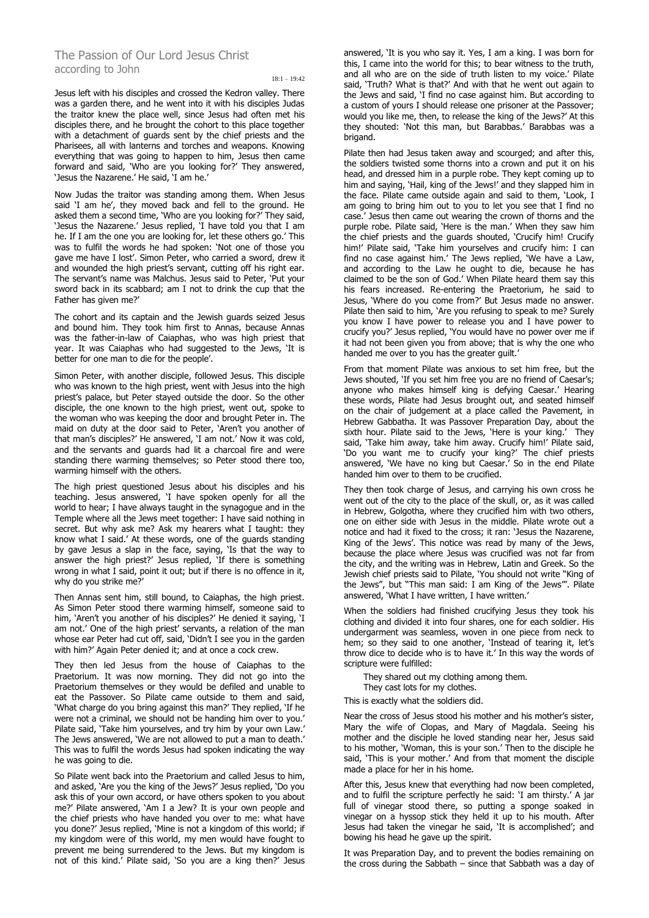# The Passion of Our Lord Jesus Christ according to John

18:1 – 19:42

Jesus left with his disciples and crossed the Kedron valley. There was a garden there, and he went into it with his disciples Judas the traitor knew the place well, since Jesus had often met his disciples there, and he brought the cohort to this place together with a detachment of guards sent by the chief priests and the Pharisees, all with lanterns and torches and weapons. Knowing everything that was going to happen to him, Jesus then came forward and said, 'Who are you looking for?' They answered, 'Jesus the Nazarene.' He said, 'I am he.'

Now Judas the traitor was standing among them. When Jesus said 'I am he', they moved back and fell to the ground. He asked them a second time, 'Who are you looking for?' They said, 'Jesus the Nazarene.' Jesus replied, 'I have told you that I am he. If I am the one you are looking for, let these others go.' This was to fulfil the words he had spoken: 'Not one of those you gave me have I lost'. Simon Peter, who carried a sword, drew it and wounded the high priest's servant, cutting off his right ear. The servant's name was Malchus. Jesus said to Peter, 'Put your sword back in its scabbard; am I not to drink the cup that the Father has given me?'

The cohort and its captain and the Jewish guards seized Jesus and bound him. They took him first to Annas, because Annas was the father-in-law of Caiaphas, who was high priest that year. It was Caiaphas who had suggested to the Jews, 'It is better for one man to die for the people'.

Simon Peter, with another disciple, followed Jesus. This disciple who was known to the high priest, went with Jesus into the high priest's palace, but Peter stayed outside the door. So the other disciple, the one known to the high priest, went out, spoke to the woman who was keeping the door and brought Peter in. The maid on duty at the door said to Peter, 'Aren't you another of that man's disciples?' He answered, 'I am not.' Now it was cold, and the servants and guards had lit a charcoal fire and were standing there warming themselves; so Peter stood there too, warming himself with the others.

The high priest questioned Jesus about his disciples and his teaching. Jesus answered, 'I have spoken openly for all the world to hear; I have always taught in the synagogue and in the Temple where all the Jews meet together: I have said nothing in secret. But why ask me? Ask my hearers what I taught: they know what I said.' At these words, one of the guards standing by gave Jesus a slap in the face, saying, 'Is that the way to answer the high priest?' Jesus replied, 'If there is something wrong in what I said, point it out; but if there is no offence in it, why do you strike me?'

Then Annas sent him, still bound, to Caiaphas, the high priest. As Simon Peter stood there warming himself, someone said to him, 'Aren't you another of his disciples?' He denied it saying, 'I am not.' One of the high priest' servants, a relation of the man whose ear Peter had cut off, said, 'Didn't I see you in the garden with him?' Again Peter denied it; and at once a cock crew.

They then led Jesus from the house of Caiaphas to the Praetorium. It was now morning. They did not go into the Praetorium themselves or they would be defiled and unable to eat the Passover. So Pilate came outside to them and said, 'What charge do you bring against this man?' They replied, 'If he were not a criminal, we should not be handing him over to you.' Pilate said, 'Take him yourselves, and try him by your own Law.' The Jews answered, 'We are not allowed to put a man to death.' This was to fulfil the words Jesus had spoken indicating the way he was going to die.

So Pilate went back into the Praetorium and called Jesus to him, and asked, 'Are you the king of the Jews?' Jesus replied, 'Do you ask this of your own accord, or have others spoken to you about me?' Pilate answered, 'Am I a Jew? It is your own people and the chief priests who have handed you over to me: what have you done?' Jesus replied, 'Mine is not a kingdom of this world; if my kingdom were of this world, my men would have fought to prevent me being surrendered to the Jews. But my kingdom is not of this kind.' Pilate said, 'So you are a king then?' Jesus answered, 'It is you who say it. Yes, I am a king. I was born for this, I came into the world for this; to bear witness to the truth, and all who are on the side of truth listen to my voice.' Pilate said, 'Truth? What is that?' And with that he went out again to the Jews and said, 'I find no case against him. But according to a custom of yours I should release one prisoner at the Passover; would you like me, then, to release the king of the Jews?' At this they shouted: 'Not this man, but Barabbas.' Barabbas was a brigand.

Pilate then had Jesus taken away and scourged; and after this, the soldiers twisted some thorns into a crown and put it on his head, and dressed him in a purple robe. They kept coming up to him and saying, 'Hail, king of the Jews!' and they slapped him in the face. Pilate came outside again and said to them, 'Look, I am going to bring him out to you to let you see that I find no case.' Jesus then came out wearing the crown of thorns and the purple robe. Pilate said, 'Here is the man.' When they saw him the chief priests and the guards shouted, 'Crucify him! Crucify him!' Pilate said, 'Take him yourselves and crucify him: I can find no case against him.' The Jews replied, 'We have a Law, and according to the Law he ought to die, because he has claimed to be the son of God.' When Pilate heard them say this his fears increased. Re-entering the Praetorium, he said to Jesus, 'Where do you come from?' But Jesus made no answer. Pilate then said to him, 'Are you refusing to speak to me? Surely you know I have power to release you and I have power to crucify you?' Jesus replied, 'You would have no power over me if it had not been given you from above; that is why the one who handed me over to you has the greater guilt.'

From that moment Pilate was anxious to set him free, but the Jews shouted, 'If you set him free you are no friend of Caesar's; anyone who makes himself king is defying Caesar.' Hearing these words, Pilate had Jesus brought out, and seated himself on the chair of judgement at a place called the Pavement, in Hebrew Gabbatha. It was Passover Preparation Day, about the sixth hour. Pilate said to the Jews, 'Here is your king.' They said, 'Take him away, take him away. Crucify him!' Pilate said, 'Do you want me to crucify your king?' The chief priests answered, 'We have no king but Caesar.' So in the end Pilate handed him over to them to be crucified.

They then took charge of Jesus, and carrying his own cross he went out of the city to the place of the skull, or, as it was called in Hebrew, Golgotha, where they crucified him with two others, one on either side with Jesus in the middle. Pilate wrote out a notice and had it fixed to the cross; it ran: 'Jesus the Nazarene, King of the Jews'. This notice was read by many of the Jews, because the place where Jesus was crucified was not far from the city, and the writing was in Hebrew, Latin and Greek. So the Jewish chief priests said to Pilate, 'You should not write "King of the Jews", but "This man said: I am King of the Jews"'. Pilate answered, 'What I have written, I have written.'

When the soldiers had finished crucifying Jesus they took his clothing and divided it into four shares, one for each soldier. His undergarment was seamless, woven in one piece from neck to hem; so they said to one another, 'Instead of tearing it, let's throw dice to decide who is to have it.' In this way the words of scripture were fulfilled:

They shared out my clothing among them. They cast lots for my clothes.

This is exactly what the soldiers did.

Near the cross of Jesus stood his mother and his mother's sister, Mary the wife of Clopas, and Mary of Magdala. Seeing his mother and the disciple he loved standing near her, Jesus said to his mother, 'Woman, this is your son.' Then to the disciple he said, 'This is your mother.' And from that moment the disciple made a place for her in his home.

After this, Jesus knew that everything had now been completed, and to fulfil the scripture perfectly he said: 'I am thirsty.' A jar full of vinegar stood there, so putting a sponge soaked in vinegar on a hyssop stick they held it up to his mouth. After Jesus had taken the vinegar he said, 'It is accomplished'; and bowing his head he gave up the spirit.

It was Preparation Day, and to prevent the bodies remaining on the cross during the Sabbath – since that Sabbath was a day of